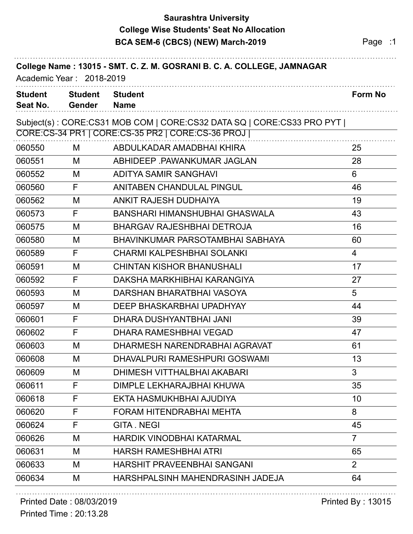## **Saurashtra University BCA SEM-6 (CBCS) (NEW) March-2019 Page :1 College Wise Students' Seat No Allocation**

| College Name: 13015 - SMT. C. Z. M. GOSRANI B. C. A. COLLEGE, JAMNAGAR<br>Academic Year: 2018-2019 |                                 |                                                                       |                |  |  |
|----------------------------------------------------------------------------------------------------|---------------------------------|-----------------------------------------------------------------------|----------------|--|--|
| <b>Student</b><br>Seat No.                                                                         | <b>Student</b><br><b>Gender</b> | <b>Student</b><br><b>Name</b>                                         | <b>Form No</b> |  |  |
|                                                                                                    |                                 | Subject(s): CORE:CS31 MOB COM   CORE:CS32 DATA SQ   CORE:CS33 PRO PYT |                |  |  |
|                                                                                                    |                                 | CORE: CS-34 PR1   CORE: CS-35 PR2   CORE: CS-36 PROJ                  |                |  |  |
| 060550                                                                                             | M                               | ABDULKADAR AMADBHAI KHIRA                                             | 25             |  |  |
| 060551                                                                                             | M                               | ABHIDEEP PAWANKUMAR JAGLAN                                            | 28             |  |  |
| 060552                                                                                             | M                               | <b>ADITYA SAMIR SANGHAVI</b>                                          | 6              |  |  |
| 060560                                                                                             | F                               | ANITABEN CHANDULAL PINGUL                                             | 46             |  |  |
| 060562                                                                                             | M                               | ANKIT RAJESH DUDHAIYA                                                 | 19             |  |  |
| 060573                                                                                             | F                               | BANSHARI HIMANSHUBHAI GHASWALA                                        | 43             |  |  |
| 060575                                                                                             | M                               | <b>BHARGAV RAJESHBHAI DETROJA</b>                                     | 16             |  |  |
| 060580                                                                                             | M                               | BHAVINKUMAR PARSOTAMBHAI SABHAYA                                      | 60             |  |  |
| 060589                                                                                             | F                               | <b>CHARMI KALPESHBHAI SOLANKI</b>                                     | $\overline{4}$ |  |  |
| 060591                                                                                             | M                               | <b>CHINTAN KISHOR BHANUSHALI</b>                                      | 17             |  |  |
| 060592                                                                                             | F                               | DAKSHA MARKHIBHAI KARANGIYA                                           | 27             |  |  |
| 060593                                                                                             | M                               | DARSHAN BHARATBHAI VASOYA                                             | 5              |  |  |
| 060597                                                                                             | M                               | DEEP BHASKARBHAI UPADHYAY                                             | 44             |  |  |
| 060601                                                                                             | F                               | DHARA DUSHYANTBHAI JANI                                               | 39             |  |  |
| 060602                                                                                             | F                               | DHARA RAMESHBHAI VEGAD                                                | 47             |  |  |
| 060603                                                                                             | M                               | DHARMESH NARENDRABHAI AGRAVAT                                         | 61             |  |  |
| 060608                                                                                             | M                               | DHAVALPURI RAMESHPURI GOSWAMI                                         | 13             |  |  |
| 060609                                                                                             | M                               | DHIMESH VITTHALBHAI AKABARI                                           | 3              |  |  |
| 060611                                                                                             | F                               | DIMPLE LEKHARAJBHAI KHUWA                                             | 35             |  |  |
| 060618                                                                                             | F                               | EKTA HASMUKHBHAI AJUDIYA                                              | 10             |  |  |
| 060620                                                                                             | F                               | FORAM HITENDRABHAI MEHTA                                              | 8              |  |  |
| 060624                                                                                             | F                               | <b>GITA.NEGI</b>                                                      | 45             |  |  |
| 060626                                                                                             | M                               | <b>HARDIK VINODBHAI KATARMAL</b>                                      | $\overline{7}$ |  |  |
| 060631                                                                                             | M                               | <b>HARSH RAMESHBHAI ATRI</b>                                          | 65             |  |  |
| 060633                                                                                             | M                               | <b>HARSHIT PRAVEENBHAI SANGANI</b>                                    | $\overline{2}$ |  |  |
| 060634                                                                                             | M                               | HARSHPALSINH MAHENDRASINH JADEJA                                      | 64             |  |  |

## Printed Date : 08/03/2019 **Printed By : 13015**

Printed Time : 20:13.28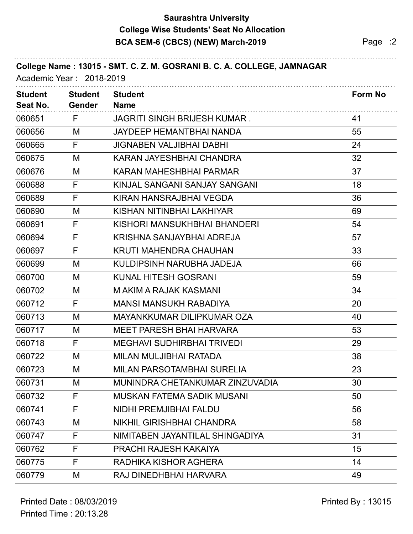## **Saurashtra University BCA SEM-6 (CBCS) (NEW) March-2019 Page :2 College Wise Students' Seat No Allocation**

| College Name: 13015 - SMT. C. Z. M. GOSRANI B. C. A. COLLEGE, JAMNAGAR<br>Academic Year: 2018-2019 |                                 |                                     |                |  |  |
|----------------------------------------------------------------------------------------------------|---------------------------------|-------------------------------------|----------------|--|--|
| <b>Student</b><br>Seat No.                                                                         | <b>Student</b><br><b>Gender</b> | <b>Student</b><br><b>Name</b>       | <b>Form No</b> |  |  |
| 060651                                                                                             | F                               | <b>JAGRITI SINGH BRIJESH KUMAR.</b> | 41             |  |  |
| 060656                                                                                             | M                               | JAYDEEP HEMANTBHAI NANDA            | 55             |  |  |
| 060665                                                                                             | F                               | <b>JIGNABEN VALJIBHAI DABHI</b>     | 24             |  |  |
| 060675                                                                                             | M                               | KARAN JAYESHBHAI CHANDRA            | 32             |  |  |
| 060676                                                                                             | M                               | KARAN MAHESHBHAI PARMAR             | 37             |  |  |
| 060688                                                                                             | F                               | KINJAL SANGANI SANJAY SANGANI       | 18             |  |  |
| 060689                                                                                             | F                               | KIRAN HANSRAJBHAI VEGDA             | 36             |  |  |
| 060690                                                                                             | M                               | KISHAN NITINBHAI LAKHIYAR           | 69             |  |  |
| 060691                                                                                             | F                               | KISHORI MANSUKHBHAI BHANDERI        | 54             |  |  |
| 060694                                                                                             | F                               | KRISHNA SANJAYBHAI ADREJA           | 57             |  |  |
| 060697                                                                                             | F                               | <b>KRUTI MAHENDRA CHAUHAN</b>       | 33             |  |  |
| 060699                                                                                             | M                               | KULDIPSINH NARUBHA JADEJA           | 66             |  |  |
| 060700                                                                                             | M                               | <b>KUNAL HITESH GOSRANI</b>         | 59             |  |  |
| 060702                                                                                             | M                               | M AKIM A RAJAK KASMANI              | 34             |  |  |
| 060712                                                                                             | F                               | <b>MANSI MANSUKH RABADIYA</b>       | 20             |  |  |
| 060713                                                                                             | M                               | <b>MAYANKKUMAR DILIPKUMAR OZA</b>   | 40             |  |  |
| 060717                                                                                             | M                               | <b>MEET PARESH BHAI HARVARA</b>     | 53             |  |  |
| 060718                                                                                             | F                               | <b>MEGHAVI SUDHIRBHAI TRIVEDI</b>   | 29             |  |  |
| 060722                                                                                             | M                               | MILAN MULJIBHAI RATADA              | 38             |  |  |
| 060723                                                                                             | M                               | <b>MILAN PARSOTAMBHAI SURELIA</b>   | 23             |  |  |
| 060731                                                                                             | M                               | MUNINDRA CHETANKUMAR ZINZUVADIA     | 30             |  |  |
| 060732                                                                                             | F                               | <b>MUSKAN FATEMA SADIK MUSANI</b>   | 50             |  |  |
| 060741                                                                                             | F                               | NIDHI PREMJIBHAI FALDU              | 56             |  |  |
| 060743                                                                                             | M                               | <b>NIKHIL GIRISHBHAI CHANDRA</b>    | 58             |  |  |
| 060747                                                                                             | F                               | NIMITABEN JAYANTILAL SHINGADIYA     | 31             |  |  |
| 060762                                                                                             | F                               | PRACHI RAJESH KAKAIYA               | 15             |  |  |
| 060775                                                                                             | F                               | RADHIKA KISHOR AGHERA               | 14             |  |  |
| 060779                                                                                             | M                               | RAJ DINEDHBHAI HARVARA              | 49             |  |  |

### Printed Date : 08/03/2019 **Printed By : 13015**

Printed Time : 20:13.28